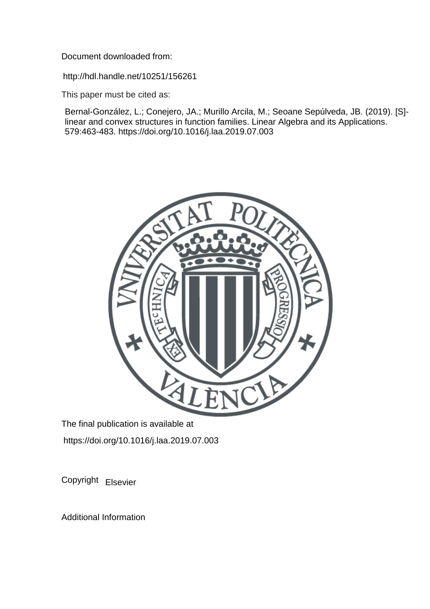Document downloaded from:

http://hdl.handle.net/10251/156261

This paper must be cited as:

Bernal-González, L.; Conejero, JA.; Murillo Arcila, M.; Seoane Sepúlveda, JB. (2019). [S] linear and convex structures in function families. Linear Algebra and its Applications. 579:463-483. https://doi.org/10.1016/j.laa.2019.07.003



The final publication is available at https://doi.org/10.1016/j.laa.2019.07.003

Copyright Elsevier

Additional Information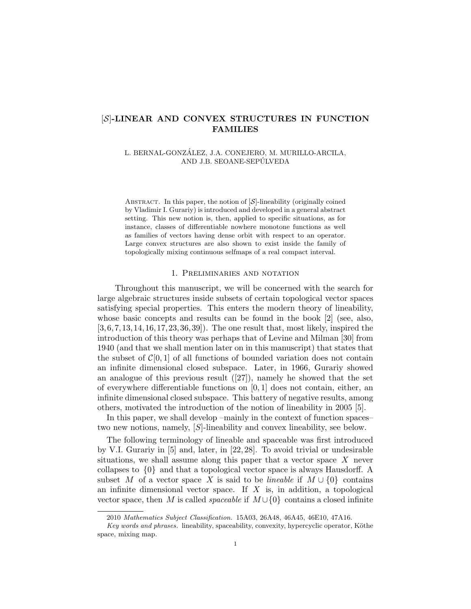# [S]-LINEAR AND CONVEX STRUCTURES IN FUNCTION FAMILIES

### L. BERNAL-GONZÁLEZ, J.A. CONEJERO, M. MURILLO-ARCILA, AND J.B. SEOANE-SEPÚLVEDA

ABSTRACT. In this paper, the notion of  $[\mathcal{S}]$ -lineability (originally coined by Vladimir I. Gurariy) is introduced and developed in a general abstract setting. This new notion is, then, applied to specific situations, as for instance, classes of differentiable nowhere monotone functions as well as families of vectors having dense orbit with respect to an operator. Large convex structures are also shown to exist inside the family of topologically mixing continuous selfmaps of a real compact interval.

### 1. Preliminaries and notation

Throughout this manuscript, we will be concerned with the search for large algebraic structures inside subsets of certain topological vector spaces satisfying special properties. This enters the modern theory of lineability, whose basic concepts and results can be found in the book [2] (see, also,  $[3, 6, 7, 13, 14, 16, 17, 23, 36, 39]$ . The one result that, most likely, inspired the introduction of this theory was perhaps that of Levine and Milman [30] from 1940 (and that we shall mention later on in this manuscript) that states that the subset of  $\mathcal{C}[0,1]$  of all functions of bounded variation does not contain an infinite dimensional closed subspace. Later, in 1966, Gurariy showed an analogue of this previous result  $([27])$ , namely he showed that the set of everywhere differentiable functions on  $[0, 1]$  does not contain, either, an infinite dimensional closed subspace. This battery of negative results, among others, motivated the introduction of the notion of lineability in 2005 [5].

In this paper, we shall develop –mainly in the context of function spaces– two new notions, namely, [S]-lineability and convex lineability, see below.

The following terminology of lineable and spaceable was first introduced by V.I. Gurariy in [5] and, later, in [22, 28]. To avoid trivial or undesirable situations, we shall assume along this paper that a vector space  $X$  never collapses to {0} and that a topological vector space is always Hausdorff. A subset M of a vector space X is said to be *lineable* if  $M \cup \{0\}$  contains an infinite dimensional vector space. If  $X$  is, in addition, a topological vector space, then M is called *spaceable* if  $M \cup \{0\}$  contains a closed infinite

<sup>2010</sup> Mathematics Subject Classification. 15A03, 26A48, 46A45, 46E10, 47A16.

Key words and phrases. lineability, spaceability, convexity, hypercyclic operator, Köthe space, mixing map.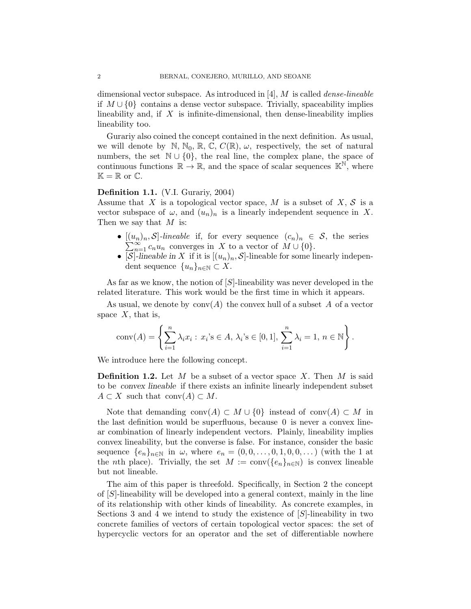dimensional vector subspace. As introduced in  $[4]$ , M is called *dense-lineable* if M ∪ {0} contains a dense vector subspace. Trivially, spaceability implies lineability and, if  $X$  is infinite-dimensional, then dense-lineability implies lineability too.

Gurariy also coined the concept contained in the next definition. As usual, we will denote by N, N<sub>0</sub>, R, C,  $C(\mathbb{R})$ ,  $\omega$ , respectively, the set of natural numbers, the set  $\mathbb{N} \cup \{0\}$ , the real line, the complex plane, the space of continuous functions  $\mathbb{R} \to \mathbb{R}$ , and the space of scalar sequences  $\mathbb{K}^{\mathbb{N}}$ , where  $\mathbb{K} = \mathbb{R}$  or  $\mathbb{C}$ .

### Definition 1.1. (V.I. Gurariy, 2004)

Assume that X is a topological vector space, M is a subset of  $X, \mathcal{S}$  is a vector subspace of  $\omega$ , and  $(u_n)_n$  is a linearly independent sequence in X. Then we say that  $M$  is:

- $[(u_n)_n, S]$ -lineable if, for every sequence  $(c_n)_n \in S$ , the series  $\sum_{n=1}^{\infty} c_n u_n$  converges in X to a vector of  $M \cup \{0\}.$
- [S]-lineable in X if it is  $[(u_n)_n, S]$ -lineable for some linearly independent sequence  $\{u_n\}_{n\in\mathbb{N}}\subset X$ .

As far as we know, the notion of [S]-lineability was never developed in the related literature. This work would be the first time in which it appears.

As usual, we denote by  $\text{conv}(A)$  the convex hull of a subset A of a vector space  $X$ , that is,

$$
conv(A) = \left\{ \sum_{i=1}^{n} \lambda_i x_i : x_i \in A, \lambda_i \in [0,1], \sum_{i=1}^{n} \lambda_i = 1, n \in \mathbb{N} \right\}.
$$

We introduce here the following concept.

**Definition 1.2.** Let  $M$  be a subset of a vector space  $X$ . Then  $M$  is said to be convex lineable if there exists an infinite linearly independent subset  $A \subset X$  such that conv $(A) \subset M$ .

Note that demanding conv $(A) \subset M \cup \{0\}$  instead of conv $(A) \subset M$  in the last definition would be superfluous, because 0 is never a convex linear combination of linearly independent vectors. Plainly, lineability implies convex lineability, but the converse is false. For instance, consider the basic sequence  ${e_n}_{n\in\mathbb{N}}$  in  $\omega$ , where  $e_n = (0, 0, \ldots, 0, 1, 0, 0, \ldots)$  (with the 1 at the nth place). Trivially, the set  $M := \text{conv}(\{e_n\}_{n \in \mathbb{N}})$  is convex lineable but not lineable.

The aim of this paper is threefold. Specifically, in Section 2 the concept of [S]-lineability will be developed into a general context, mainly in the line of its relationship with other kinds of lineability. As concrete examples, in Sections 3 and 4 we intend to study the existence of  $[S]$ -lineability in two concrete families of vectors of certain topological vector spaces: the set of hypercyclic vectors for an operator and the set of differentiable nowhere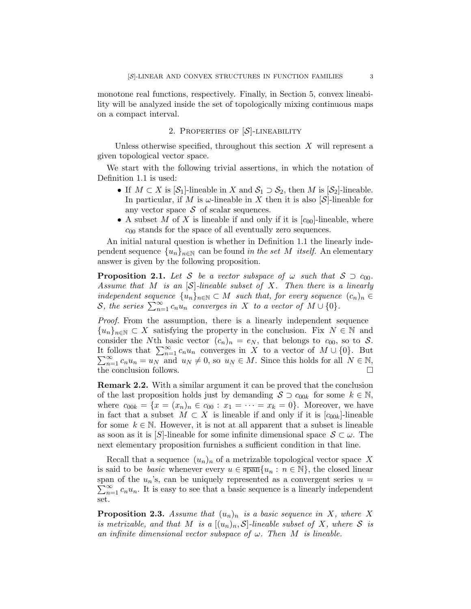monotone real functions, respectively. Finally, in Section 5, convex lineability will be analyzed inside the set of topologically mixing continuous maps on a compact interval.

## 2. PROPERTIES OF  $[S]$ -LINEABILITY

Unless otherwise specified, throughout this section  $X$  will represent a given topological vector space.

We start with the following trivial assertions, in which the notation of Definition 1.1 is used:

- If  $M \subset X$  is  $[\mathcal{S}_1]$ -lineable in X and  $\mathcal{S}_1 \supset \mathcal{S}_2$ , then M is  $[\mathcal{S}_2]$ -lineable. In particular, if M is  $\omega$ -lineable in X then it is also [S]-lineable for any vector space  $S$  of scalar sequences.
- A subset M of X is lineable if and only if it is  $[c_{00}]$ -lineable, where  $c_{00}$  stands for the space of all eventually zero sequences.

An initial natural question is whether in Definition 1.1 the linearly independent sequence  $\{u_n\}_{n\in\mathbb{N}}$  can be found in the set M itself. An elementary answer is given by the following proposition.

**Proposition 2.1.** Let S be a vector subspace of  $\omega$  such that  $S \supseteq c_{00}$ . Assume that M is an  $[\mathcal{S}]$ -lineable subset of X. Then there is a linearly independent sequence  $\{u_n\}_{n\in\mathbb{N}}\subset M$  such that, for every sequence  $(c_n)_n \in$ S, the series  $\sum_{n=1}^{\infty} c_n u_n$  converges in X to a vector of  $M \cup \{0\}$ .

Proof. From the assumption, there is a linearly independent sequence  ${u_n}_{n\in\mathbb{N}}\subset X$  satisfying the property in the conclusion. Fix  $N\in\mathbb{N}$  and consider the Nth basic vector  $(c_n)_n = e_N$ , that belongs to  $c_{00}$ , so to S. It follows that  $\sum_{n=1}^{\infty} c_n u_n$  converges in X to a vector of  $M \cup \{0\}$ . But  $\sum_{n=1}^{\infty} c_n u_n = u_N$  and  $u_N \neq 0$ , so  $u_N \in M$ . Since this holds for all  $N \in \mathbb{N}$ , the conclusion follows.

Remark 2.2. With a similar argument it can be proved that the conclusion of the last proposition holds just by demanding  $S \supset c_{00k}$  for some  $k \in \mathbb{N}$ , where  $c_{00k} = \{x = (x_n)_n \in c_{00} : x_1 = \cdots = x_k = 0\}$ . Moreover, we have in fact that a subset  $M \subset X$  is lineable if and only if it is  $[c_{00k}]$ -lineable for some  $k \in \mathbb{N}$ . However, it is not at all apparent that a subset is lineable as soon as it is [S]-lineable for some infinite dimensional space  $S \subset \omega$ . The next elementary proposition furnishes a sufficient condition in that line.

Recall that a sequence  $(u_n)_n$  of a metrizable topological vector space X is said to be *basic* whenever every  $u \in \overline{\text{span}}\{u_n : n \in \mathbb{N}\}\,$ , the closed linear  $\sum_{n=1}^{\infty} c_n u_n$ . It is easy to see that a basic sequence is a linearly independent span of the  $u_n$ 's, can be uniquely represented as a convergent series  $u =$ set.

**Proposition 2.3.** Assume that  $(u_n)_n$  is a basic sequence in X, where X is metrizable, and that M is a  $[(u_n)_n, S]$ -lineable subset of X, where S is an infinite dimensional vector subspace of  $\omega$ . Then M is lineable.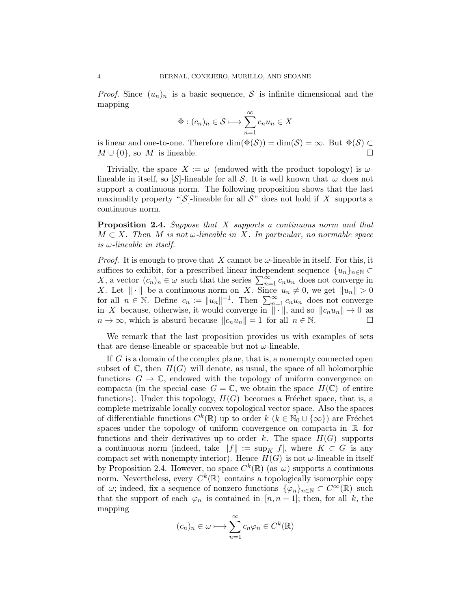*Proof.* Since  $(u_n)_n$  is a basic sequence, S is infinite dimensional and the mapping

$$
\Phi : (c_n)_n \in \mathcal{S} \longmapsto \sum_{n=1}^{\infty} c_n u_n \in X
$$

is linear and one-to-one. Therefore  $\dim(\Phi(\mathcal{S})) = \dim(\mathcal{S}) = \infty$ . But  $\Phi(\mathcal{S}) \subset$  $M \cup \{0\}$ , so M is lineable.

Trivially, the space  $X := \omega$  (endowed with the product topology) is  $\omega$ lineable in itself, so  $[\mathcal{S}]$ -lineable for all S. It is well known that  $\omega$  does not support a continuous norm. The following proposition shows that the last maximality property "[ $S$ ]-lineable for all  $S$ " does not hold if X supports a continuous norm.

Proposition 2.4. Suppose that X supports a continuous norm and that  $M \subset X$ . Then M is not  $\omega$ -lineable in X. In particular, no normable space is  $\omega$ -lineable in itself.

*Proof.* It is enough to prove that X cannot be  $\omega$ -lineable in itself. For this, it suffices to exhibit, for a prescribed linear independent sequence  $\{u_n\}_{n\in\mathbb{N}}\subset$ X, a vector  $(c_n)_n \in \omega$  such that the series  $\sum_{n=1}^{\infty} c_n u_n$  does not converge in X. Let  $\|\cdot\|$  be a continuous norm on X. Since  $u_n \neq 0$ , we get  $\|u_n\| > 0$ for all  $n \in \mathbb{N}$ . Define  $c_n := ||u_n||^{-1}$ . Then  $\sum_{n=1}^{\infty} c_n u_n$  does not converge in X because, otherwise, it would converge in  $\|\cdot\|$ , and so  $\|c_nu_n\| \to 0$  as  $n \to \infty$ , which is absurd because  $||c_n u_n|| = 1$  for all  $n \in \mathbb{N}$ .

We remark that the last proposition provides us with examples of sets that are dense-lineable or spaceable but not  $\omega$ -lineable.

If G is a domain of the complex plane, that is, a nonempty connected open subset of  $\mathbb C$ , then  $H(G)$  will denote, as usual, the space of all holomorphic functions  $G \to \mathbb{C}$ , endowed with the topology of uniform convergence on compacta (in the special case  $G = \mathbb{C}$ , we obtain the space  $H(\mathbb{C})$  of entire functions). Under this topology,  $H(G)$  becomes a Fréchet space, that is, a complete metrizable locally convex topological vector space. Also the spaces of differentiable functions  $C^k(\mathbb{R})$  up to order  $k$   $(k \in \mathbb{N}_0 \cup \{\infty\})$  are Fréchet spaces under the topology of uniform convergence on compacta in  $\mathbb R$  for functions and their derivatives up to order k. The space  $H(G)$  supports a continuous norm (indeed, take  $||f|| := \sup_K |f|$ , where  $K \subset G$  is any compact set with nonempty interior). Hence  $H(G)$  is not  $\omega$ -lineable in itself by Proposition 2.4. However, no space  $C^k(\mathbb{R})$  (as  $\omega$ ) supports a continuous norm. Nevertheless, every  $C^k(\mathbb{R})$  contains a topologically isomorphic copy of  $\omega$ ; indeed, fix a sequence of nonzero functions  $\{\varphi_n\}_{n\in\mathbb{N}}\subset C^{\infty}(\mathbb{R})$  such that the support of each  $\varphi_n$  is contained in  $[n, n+1]$ ; then, for all k, the mapping

$$
(c_n)_n \in \omega \longmapsto \sum_{n=1}^{\infty} c_n \varphi_n \in C^k(\mathbb{R})
$$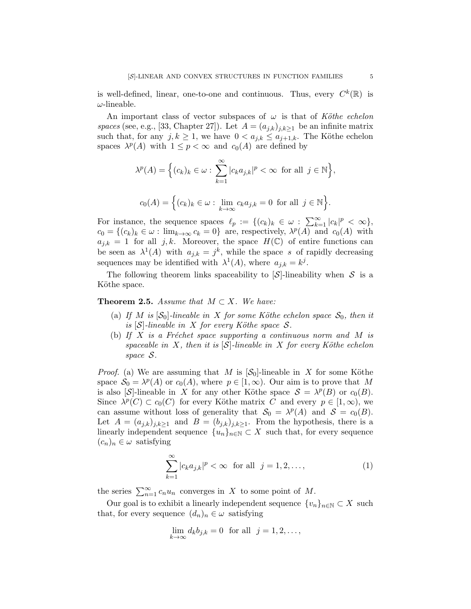is well-defined, linear, one-to-one and continuous. Thus, every  $C^k(\mathbb{R})$  is  $\omega$ -lineable.

An important class of vector subspaces of  $\omega$  is that of Köthe echelon spaces (see, e.g., [33, Chapter 27]). Let  $A = (a_{j,k})_{j,k>1}$  be an infinite matrix such that, for any  $j, k \geq 1$ , we have  $0 < a_{j,k} \leq a_{j+1,k}$ . The Köthe echelon spaces  $\lambda^p(A)$  with  $1 \leq p < \infty$  and  $c_0(A)$  are defined by

$$
\lambda^{p}(A) = \Big\{ (c_k)_k \in \omega : \sum_{k=1}^{\infty} |c_k a_{j,k}|^p < \infty \text{ for all } j \in \mathbb{N} \Big\},\
$$
  

$$
c_0(A) = \Big\{ (c_k)_k \in \omega : \lim_{k \to \infty} c_k a_{j,k} = 0 \text{ for all } j \in \mathbb{N} \Big\}.
$$

For instance, the sequence spaces  $\ell_p := \{(c_k)_k \in \omega : \sum_{k=1}^{\infty} |c_k|^p < \infty \},\$  $c_0 = \{(c_k)_k \in \omega : \lim_{k \to \infty} c_k = 0\}$  are, respectively,  $\lambda^p(A)$  and  $c_0(A)$  with  $a_{j,k} = 1$  for all j, k. Moreover, the space  $H(\mathbb{C})$  of entire functions can be seen as  $\lambda^1(A)$  with  $a_{j,k} = j^k$ , while the space s of rapidly decreasing sequences may be identified with  $\lambda^1(A)$ , where  $a_{j,k} = k^j$ .

The following theorem links spaceability to  $\mathcal{S}$ -lineability when S is a Köthe space.

**Theorem 2.5.** Assume that  $M \subset X$ . We have:

- (a) If M is  $[\mathcal{S}_0]$ -lineable in X for some Köthe echelon space  $\mathcal{S}_0$ , then it is  $[\mathcal{S}]$ -lineable in X for every Köthe space S.
- (b) If X is a Fréchet space supporting a continuous norm and M is spaceable in X, then it is  $[\mathcal{S}]$ -lineable in X for every Köthe echelon space S.

*Proof.* (a) We are assuming that M is  $[\mathcal{S}_0]$ -lineable in X for some Köthe space  $S_0 = \lambda^p(A)$  or  $c_0(A)$ , where  $p \in [1, \infty)$ . Our aim is to prove that M is also [S]-lineable in X for any other Köthe space  $S = \lambda^p(B)$  or  $c_0(B)$ . Since  $\lambda^p(C) \subset c_0(C)$  for every Köthe matrix C and every  $p \in [1,\infty)$ , we can assume without loss of generality that  $S_0 = \lambda^p(A)$  and  $S = c_0(B)$ . Let  $A = (a_{j,k})_{j,k \geq 1}$  and  $B = (b_{j,k})_{j,k \geq 1}$ . From the hypothesis, there is a linearly independent sequence  $\{u_n\}_{n\in\mathbb{N}}\subset X$  such that, for every sequence  $(c_n)_n \in \omega$  satisfying

$$
\sum_{k=1}^{\infty} |c_k a_{j,k}|^p < \infty \quad \text{for all} \quad j = 1, 2, \dots,\tag{1}
$$

the series  $\sum_{n=1}^{\infty} c_n u_n$  converges in X to some point of M.

Our goal is to exhibit a linearly independent sequence  $\{v_n\}_{n\in\mathbb{N}}\subset X$  such that, for every sequence  $(d_n)_n \in \omega$  satisfying

$$
\lim_{k \to \infty} d_k b_{j,k} = 0 \text{ for all } j = 1, 2, \dots,
$$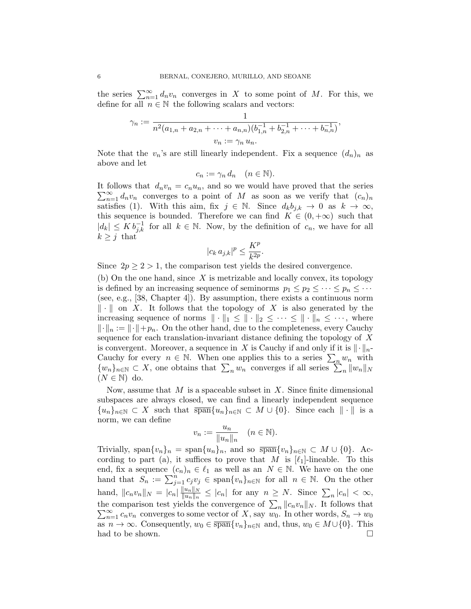the series  $\sum_{n=1}^{\infty} d_n v_n$  converges in X to some point of M. For this, we define for all  $n \in \mathbb{N}$  the following scalars and vectors:

$$
\gamma_n := \frac{1}{n^2(a_{1,n} + a_{2,n} + \dots + a_{n,n})(b_{1,n}^{-1} + b_{2,n}^{-1} + \dots + b_{n,n}^{-1})},
$$
  

$$
v_n := \gamma_n u_n.
$$

Note that the  $v_n$ 's are still linearly independent. Fix a sequence  $(d_n)_n$  as above and let

$$
c_n := \gamma_n d_n \quad (n \in \mathbb{N}).
$$

 $\sum_{n=1}^{\infty} d_n v_n$  converges to a point of M as soon as we verify that  $(c_n)_n$ It follows that  $d_n v_n = c_n u_n$ , and so we would have proved that the series satisfies (1). With this aim, fix  $j \in \mathbb{N}$ . Since  $d_k b_{j,k} \to 0$  as  $k \to \infty$ , this sequence is bounded. Therefore we can find  $K \in (0, +\infty)$  such that  $|d_k| \leq K b_{j,k}^{-1}$  for all  $k \in \mathbb{N}$ . Now, by the definition of  $c_n$ , we have for all  $k \geq j$  that

$$
|c_k a_{j,k}|^p \le \frac{K^p}{k^{2p}}.
$$

Since  $2p \geq 2 > 1$ , the comparison test yields the desired convergence.

(b) On the one hand, since  $X$  is metrizable and locally convex, its topology is defined by an increasing sequence of seminorms  $p_1 \leq p_2 \leq \cdots \leq p_n \leq \cdots$ (see, e.g., [38, Chapter 4]). By assumption, there exists a continuous norm  $\|\cdot\|$  on X. It follows that the topology of X is also generated by the increasing sequence of norms  $\|\cdot\|_1 \leq \|\cdot\|_2 \leq \cdots \leq \|\cdot\|_n \leq \cdots$ , where  $\lVert \cdot \rVert_n := \lVert \cdot \rVert + p_n$ . On the other hand, due to the completeness, every Cauchy sequence for each translation-invariant distance defining the topology of X is convergent. Moreover, a sequence in X is Cauchy if and only if it is  $\|\cdot\|_{n-1}$ Cauchy for every  $n \in \mathbb{N}$ . When one applies this to a series  $\sum_n w_n$  with  $\{w_n\}_{n\in\mathbb{N}}\subset X$ , one obtains that  $\sum_n w_n$  converges if all series  $\sum_n \|w_n\|_N$  $(N \in \mathbb{N})$  do.

Now, assume that  $M$  is a spaceable subset in  $X$ . Since finite dimensional subspaces are always closed, we can find a linearly independent sequence  ${u_n}_{n\in\mathbb{N}} \subset X$  such that  $\overline{\text{span}}\{u_n\}_{n\in\mathbb{N}} \subset M \cup \{0\}$ . Since each  $\|\cdot\|$  is a norm, we can define

$$
v_n := \frac{u_n}{\|u_n\|_n} \quad (n \in \mathbb{N}).
$$

Trivially, span $\{v_n\}_n = \text{span}\{u_n\}_n$ , and so  $\overline{\text{span}}\{v_n\}_{n\in\mathbb{N}} \subset M \cup \{0\}$ . According to part (a), it suffices to prove that M is  $[\ell_1]$ -lineable. To this end, fix a sequence  $(c_n)_n \in \ell_1$  as well as an  $N \in \mathbb{N}$ . We have on the one hand that  $S_n := \sum_{j=1}^n c_j v_j \in \text{span}\{v_n\}_{n \in \mathbb{N}}$  for all  $n \in \mathbb{N}$ . On the other hand,  $||c_n v_n||_N = |c_n| \frac{||u_n||_N}{||u_n||_N}$  $\frac{\|u_n\|_N}{\|u_n\|_n} \leq |c_n|$  for any  $n \geq N$ . Since  $\sum_n |c_n| < \infty$ , the comparison test yields the convergence of  $\sum_{n} ||c_n v_n||_N$ . It follows that the comparison test yields the convergence of  $\sum_n ||c_n v_n||_N$ . It follows that  $\sum_{n=1}^{\infty} c_n v_n$  converges to some vector of X, say  $w_0$ . In other words,  $S_n \to w_0$ as  $n \to \infty$ . Consequently,  $w_0 \in \overline{\text{span}}\{v_n\}_{n \in \mathbb{N}}$  and, thus,  $w_0 \in M \cup \{0\}$ . This had to be shown.  $\Box$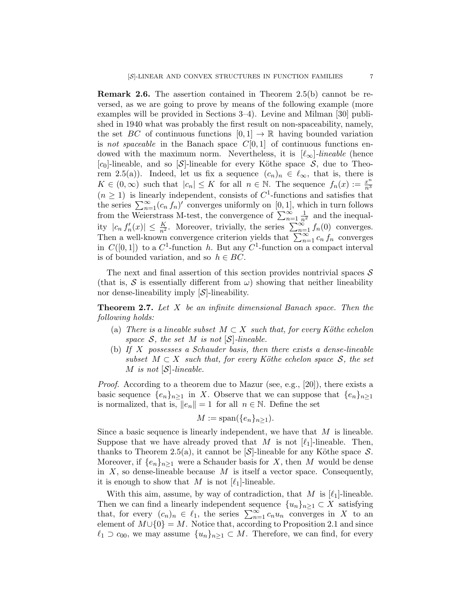Remark 2.6. The assertion contained in Theorem 2.5(b) cannot be reversed, as we are going to prove by means of the following example (more examples will be provided in Sections 3–4). Levine and Milman [30] published in 1940 what was probably the first result on non-spaceability, namely, the set BC of continuous functions  $[0, 1] \rightarrow \mathbb{R}$  having bounded variation is not spaceable in the Banach space  $C[0, 1]$  of continuous functions endowed with the maximum norm. Nevertheless, it is  $[\ell_{\infty}]$ -lineable (hence [c<sub>0</sub>]-lineable, and so [S]-lineable for every Köthe space  $S$ , due to Theorem 2.5(a)). Indeed, let us fix a sequence  $(c_n)_n \in \ell_\infty$ , that is, there is  $K \in (0,\infty)$  such that  $|c_n| \leq K$  for all  $n \in \mathbb{N}$ . The sequence  $f_n(x) := \frac{x^n}{n^3}$  $\overline{n^3}$  $(n \geq 1)$  is linearly independent, consists of  $C^1$ -functions and satisfies that the series  $\sum_{n=1}^{\infty} (c_n f_n)'$  converges uniformly on [0, 1], which in turn follows from the Weierstrass M-test, the convergence of  $\sum_{n=1}^{\infty} \frac{1}{n^2}$  and the inequality  $|c_n f'_n(x)| \leq \frac{K}{n^2}$ . Moreover, trivially, the series  $\sum_{n=1}^{\infty} f_n(0)$  converges. Then a well-known convergence criterion yields that  $\sum_{n=1}^{\infty} c_n f_n$  converges in  $C([0,1])$  to a  $C^1$ -function h. But any  $C^1$ -function on a compact interval is of bounded variation, and so  $h \in BC$ .

The next and final assertion of this section provides nontrivial spaces  $\mathcal S$ (that is,  $S$  is essentially different from  $\omega$ ) showing that neither lineability nor dense-lineability imply  $[\mathcal{S}]$ -lineability.

**Theorem 2.7.** Let  $X$  be an infinite dimensional Banach space. Then the following holds:

- (a) There is a lineable subset  $M \subset X$  such that, for every Köthe echelon space  $S$ , the set M is not  $|S|$ -lineable.
- (b) If X possesses a Schauder basis, then there exists a dense-lineable subset  $M \subset X$  such that, for every Köthe echelon space S, the set M is not  $[\mathcal{S}]$ -lineable.

Proof. According to a theorem due to Mazur (see, e.g., [20]), there exists a basic sequence  $\{e_n\}_{n\geq 1}$  in X. Observe that we can suppose that  $\{e_n\}_{n\geq 1}$ is normalized, that is,  $||e_n|| = 1$  for all  $n \in \mathbb{N}$ . Define the set

$$
M := \text{span}(\{e_n\}_{n \geq 1}).
$$

Since a basic sequence is linearly independent, we have that  $M$  is lineable. Suppose that we have already proved that M is not  $[\ell_1]$ -lineable. Then, thanks to Theorem 2.5(a), it cannot be  $\mathcal{S}$ -lineable for any Köthe space  $\mathcal{S}$ . Moreover, if  $\{e_n\}_{n\geq 1}$  were a Schauder basis for X, then M would be dense in  $X$ , so dense-lineable because  $M$  is itself a vector space. Consequently, it is enough to show that M is not  $[\ell_1]$ -lineable.

With this aim, assume, by way of contradiction, that  $M$  is  $[\ell_1]$ -lineable. Then we can find a linearly independent sequence  $\{u_n\}_{n\geq 1} \subset X$  satisfying that, for every  $(c_n)_n \in \ell_1$ , the series  $\sum_{n=1}^{\infty} c_n u_n$  converges in X to an element of  $M \cup \{0\} = M$ . Notice that, according to Proposition 2.1 and since  $\ell_1 \supset c_{00}$ , we may assume  $\{u_n\}_{n\geq 1} \subset M$ . Therefore, we can find, for every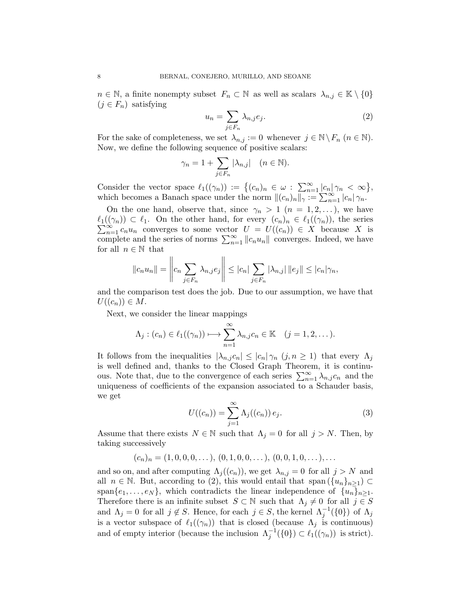$n \in \mathbb{N}$ , a finite nonempty subset  $F_n \subset \mathbb{N}$  as well as scalars  $\lambda_{n,j} \in \mathbb{K} \setminus \{0\}$  $(j \in F_n)$  satisfying

$$
u_n = \sum_{j \in F_n} \lambda_{n,j} e_j.
$$
 (2)

For the sake of completeness, we set  $\lambda_{n,j} := 0$  whenever  $j \in \mathbb{N} \backslash F_n$   $(n \in \mathbb{N})$ . Now, we define the following sequence of positive scalars:

$$
\gamma_n=1+\sum_{j\in F_n}|\lambda_{n,j}|\quad(n\in\mathbb{N}).
$$

Consider the vector space  $\ell_1((\gamma_n)) := \{(c_n)_n \in \omega : \sum_{n=1}^{\infty} |c_n| \gamma_n < \infty \},\$ which becomes a Banach space under the norm  $||(c_n)_n||_{\gamma} := \sum_{n=1}^{\infty} |c_n| \gamma_n$ .

On the one hand, observe that, since  $\gamma_n > 1$   $(n = 1, 2, ...)$ , we have  $\ell_1((\gamma_n)) \subset \ell_1$ . On the other hand, for every  $(c_n)_n \in \ell_1((\gamma_n))$ , the series  $\sum_{n=1}^{\infty} c_n u_n$  converges to some vector  $U = U((c_n)) \in X$  because X is complete and the series of norms  $\sum_{n=1}^{\infty} ||c_n u_n||$  converges. Indeed, we have for all  $n \in \mathbb{N}$  that  $\overline{11}$ 

$$
||c_nu_n|| = \left\|c_n \sum_{j \in F_n} \lambda_{n,j} e_j\right\| \leq |c_n| \sum_{j \in F_n} |\lambda_{n,j}| ||e_j|| \leq |c_n|\gamma_n,
$$

and the comparison test does the job. Due to our assumption, we have that  $U((c_n)) \in M$ .

Next, we consider the linear mappings

$$
\Lambda_j : (c_n) \in \ell_1((\gamma_n)) \longrightarrow \sum_{n=1}^{\infty} \lambda_{n,j} c_n \in \mathbb{K} \quad (j = 1, 2, \dots).
$$

It follows from the inequalities  $|\lambda_{n,j}c_n| \leq |c_n|\gamma_n$   $(j, n \geq 1)$  that every  $\Lambda_j$ is well defined and, thanks to the Closed Graph Theorem, it is continuous. Note that, due to the convergence of each series  $\sum_{n=1}^{\infty} \lambda_{n,j} c_n$  and the uniqueness of coefficients of the expansion associated to a Schauder basis, we get

$$
U((c_n)) = \sum_{j=1}^{\infty} \Lambda_j((c_n)) e_j.
$$
 (3)

Assume that there exists  $N \in \mathbb{N}$  such that  $\Lambda_j = 0$  for all  $j > N$ . Then, by taking successively

$$
(c_n)_n = (1, 0, 0, 0, \dots), (0, 1, 0, 0, \dots), (0, 0, 1, 0, \dots), \dots
$$

and so on, and after computing  $\Lambda_i((c_n))$ , we get  $\lambda_{n,j} = 0$  for all  $j > N$  and all  $n \in \mathbb{N}$ . But, according to (2), this would entail that span  $(\{u_n\}_{n\geq 1}) \subset$ span $\{e_1, \ldots, e_N\}$ , which contradicts the linear independence of  $\{u_n\}_{n\geq 1}$ . Therefore there is an infinite subset  $S \subset \mathbb{N}$  such that  $\Lambda_j \neq 0$  for all  $j \in S$ and  $\Lambda_j = 0$  for all  $j \notin S$ . Hence, for each  $j \in S$ , the kernel  $\Lambda_j^{-1}(\{0\})$  of  $\Lambda_j$ is a vector subspace of  $\ell_1((\gamma_n))$  that is closed (because  $\Lambda_j$  is continuous) and of empty interior (because the inclusion  $\Lambda_j^{-1}(\{0\}) \subset \ell_1((\gamma_n))$  is strict).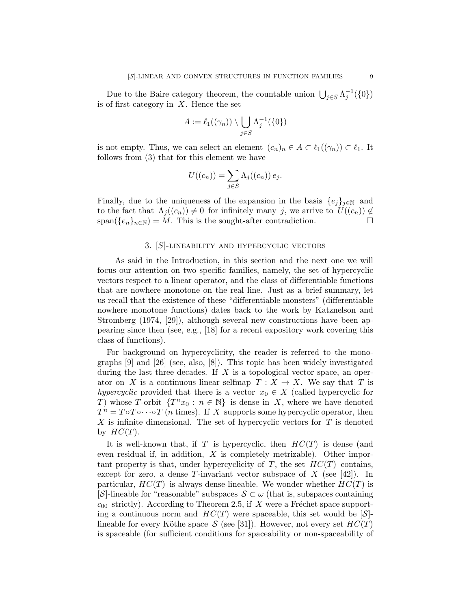Due to the Baire category theorem, the countable union  $\bigcup_{j\in S} \Lambda_j^{-1}(\{0\})$ is of first category in  $X$ . Hence the set

$$
A := \ell_1((\gamma_n)) \setminus \bigcup_{j \in S} \Lambda_j^{-1}(\{0\})
$$

is not empty. Thus, we can select an element  $(c_n)_n \in A \subset \ell_1((\gamma_n)) \subset \ell_1$ . It follows from (3) that for this element we have

$$
U((c_n)) = \sum_{j \in S} \Lambda_j((c_n)) e_j.
$$

Finally, due to the uniqueness of the expansion in the basis  $\{e_i\}_{i\in\mathbb{N}}$  and to the fact that  $\Lambda_j((c_n)) \neq 0$  for infinitely many j, we arrive to  $U((c_n)) \notin \mathbb{R}$ span( $\{e_n\}_{n\in\mathbb{N}}$ ) = M. This is the sought-after contradiction.

### 3. [S]-lineability and hypercyclic vectors

As said in the Introduction, in this section and the next one we will focus our attention on two specific families, namely, the set of hypercyclic vectors respect to a linear operator, and the class of differentiable functions that are nowhere monotone on the real line. Just as a brief summary, let us recall that the existence of these "differentiable monsters" (differentiable nowhere monotone functions) dates back to the work by Katznelson and Stromberg (1974, [29]), although several new constructions have been appearing since then (see, e.g., [18] for a recent expository work covering this class of functions).

For background on hypercyclicity, the reader is referred to the monographs [9] and [26] (see, also, [8]). This topic has been widely investigated during the last three decades. If  $X$  is a topological vector space, an operator on X is a continuous linear selfmap  $T : X \to X$ . We say that T is hypercyclic provided that there is a vector  $x_0 \in X$  (called hypercyclic for T) whose T-orbit  $\{T^n x_0 : n \in \mathbb{N}\}\$ is dense in X, where we have denoted  $T^n = T \circ T \circ \cdots \circ T$  (*n* times). If X supports some hypercyclic operator, then  $X$  is infinite dimensional. The set of hypercyclic vectors for  $T$  is denoted by  $HC(T)$ .

It is well-known that, if T is hypercyclic, then  $HC(T)$  is dense (and even residual if, in addition, X is completely metrizable). Other important property is that, under hypercyclicity of  $T$ , the set  $HC(T)$  contains, except for zero, a dense T-invariant vector subspace of X (see [42]). In particular,  $HC(T)$  is always dense-lineable. We wonder whether  $HC(T)$  is [S]-lineable for "reasonable" subspaces  $S \subset \omega$  (that is, subspaces containing  $c_{00}$  strictly). According to Theorem 2.5, if X were a Fréchet space supporting a continuous norm and  $HC(T)$  were spaceable, this set would be  $[\mathcal{S}]$ lineable for every Köthe space S (see [31]). However, not every set  $HC(T)$ is spaceable (for sufficient conditions for spaceability or non-spaceability of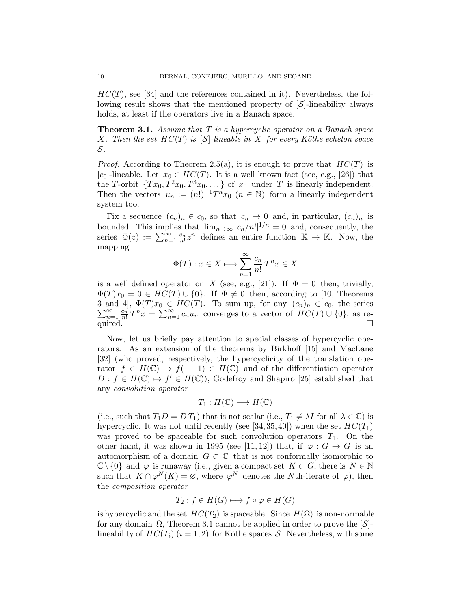$HC(T)$ , see [34] and the references contained in it). Nevertheless, the following result shows that the mentioned property of  $[\mathcal{S}]$ -lineability always holds, at least if the operators live in a Banach space.

**Theorem 3.1.** Assume that T is a hypercyclic operator on a Banach space X. Then the set  $HC(T)$  is  $[\mathcal{S}]$ -lineable in X for every Köthe echelon space S.

*Proof.* According to Theorem 2.5(a), it is enough to prove that  $HC(T)$  is  $[c_0]$ -lineable. Let  $x_0 \in HC(T)$ . It is a well known fact (see, e.g., [26]) that the T-orbit  $\{Tx_0, T^2x_0, T^3x_0, \dots\}$  of  $x_0$  under T is linearly independent. Then the vectors  $u_n := (n!)^{-1}T^n x_0$   $(n \in \mathbb{N})$  form a linearly independent system too.

Fix a sequence  $(c_n)_n \in c_0$ , so that  $c_n \to 0$  and, in particular,  $(c_n)_n$  is bounded. This implies that  $\lim_{n\to\infty} |c_n/n!|^{1/n} = 0$  and, consequently, the series  $\Phi(z) := \sum_{n=1}^{\infty} \frac{c_n}{n!} z^n$  defines an entire function  $\mathbb{K} \to \mathbb{K}$ . Now, the mapping

$$
\Phi(T) : x \in X \longmapsto \sum_{n=1}^{\infty} \frac{c_n}{n!} T^n x \in X
$$

is a well defined operator on X (see, e.g., [21]). If  $\Phi = 0$  then, trivially,  $\Phi(T)x_0 = 0 \in HC(T) \cup \{0\}$ . If  $\Phi \neq 0$  then, according to [10, Theorems 3 and 4], Φ(  $\sum$ and 4,  $\Phi(T)x_0 \in HC(T)$ . To sum up, for any  $(c_n)_n \in c_0$ , the series  $\infty$   $c_n$   $T^n x \in \sum_{n=0}^{\infty} c_n$  converges to a vector of  $HC(T) + [0]$  as re- $\sum_{n=1}^{\infty} \frac{c_n}{n!} T^n x = \sum_{n=1}^{\infty} c_n u_n$  converges to a vector of  $HC(T) \cup \{0\}$ , as re- $\sum_{n=1}^{\infty}$  and  $\sum_{n=1}^{\infty}$  and  $\sum_{n=1}^{\infty}$  and  $\sum_{n=1}^{\infty}$ 

Now, let us briefly pay attention to special classes of hypercyclic operators. As an extension of the theorems by Birkhoff [15] and MacLane [32] (who proved, respectively, the hypercyclicity of the translation operator  $f \in H(\mathbb{C}) \mapsto f(\cdot + 1) \in H(\mathbb{C})$  and of the differentiation operator  $D: f \in H(\mathbb{C}) \mapsto f' \in H(\mathbb{C})$ , Godefroy and Shapiro [25] established that any convolution operator

$$
T_1: H(\mathbb{C}) \longrightarrow H(\mathbb{C})
$$

(i.e., such that  $T_1D = DT_1$ ) that is not scalar (i.e.,  $T_1 \neq \lambda I$  for all  $\lambda \in \mathbb{C}$ ) is hypercyclic. It was not until recently (see [34, 35, 40]) when the set  $HC(T_1)$ was proved to be spaceable for such convolution operators  $T_1$ . On the other hand, it was shown in 1995 (see [11, 12]) that, if  $\varphi : G \to G$  is an automorphism of a domain  $G \subset \mathbb{C}$  that is not conformally isomorphic to  $\mathbb{C}\setminus\{0\}$  and  $\varphi$  is runaway (i.e., given a compact set  $K\subset G$ , there is  $N\in\mathbb{N}$ such that  $K \cap \varphi^N(K) = \varnothing$ , where  $\varphi^N$  denotes the Nth-iterate of  $\varphi$ ), then the composition operator

$$
T_2: f \in H(G) \longmapsto f \circ \varphi \in H(G)
$$

is hypercyclic and the set  $HC(T_2)$  is spaceable. Since  $H(\Omega)$  is non-normable for any domain  $\Omega$ , Theorem 3.1 cannot be applied in order to prove the  $[\mathcal{S}]$ lineability of  $HC(T_i)$   $(i = 1, 2)$  for Köthe spaces S. Nevertheless, with some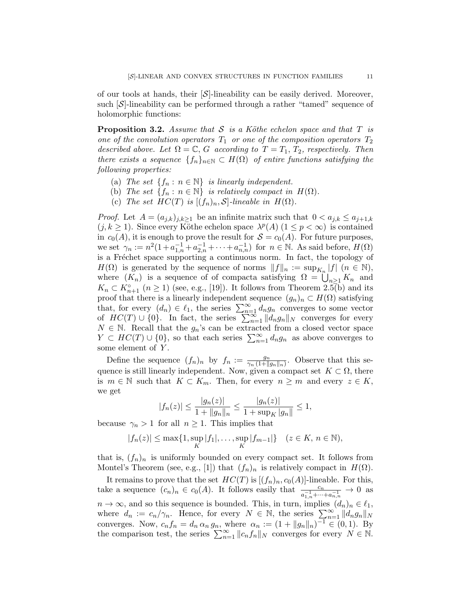of our tools at hands, their  $\mathcal{S}$ -lineability can be easily derived. Moreover, such  $[\mathcal{S}]$ -lineability can be performed through a rather "tamed" sequence of holomorphic functions:

**Proposition 3.2.** Assume that S is a Köthe echelon space and that T is one of the convolution operators  $T_1$  or one of the composition operators  $T_2$ described above. Let  $\Omega = \mathbb{C}$ , G according to  $T = T_1, T_2$ , respectively. Then there exists a sequence  $\{f_n\}_{n\in\mathbb{N}}\subset H(\Omega)$  of entire functions satisfying the following properties:

- (a) The set  $\{f_n : n \in \mathbb{N}\}\$ is linearly independent.
- (b) The set  $\{f_n : n \in \mathbb{N}\}\$ is relatively compact in  $H(\Omega)$ .
- (c) The set  $HC(T)$  is  $[(f_n)_n, \mathcal{S}]$ -lineable in  $H(\Omega)$ .

*Proof.* Let  $A = (a_{j,k})_{j,k \geq 1}$  be an infinite matrix such that  $0 < a_{j,k} \leq a_{j+1,k}$  $(j, k \geq 1)$ . Since every Köthe echelon space  $\lambda^p(A)$   $(1 \leq p < \infty)$  is contained in  $c_0(A)$ , it is enough to prove the result for  $S = c_0(A)$ . For future purposes, we set  $\gamma_n := n^2(1 + a_{1,n}^{-1} + a_{2,n}^{-1} + \cdots + a_{n,n}^{-1})$  for  $n \in \mathbb{N}$ . As said before,  $H(\Omega)$ is a Fréchet space supporting a continuous norm. In fact, the topology of  $H(\Omega)$  is generated by the sequence of norms  $||f||_n := \sup_{K_n} |f|$   $(n \in \mathbb{N}),$ where  $(K_n)$  is a sequence of of compacta satisfying  $\Omega = \bigcup_{n \geq 1} K_n$  and  $K_n \subset K_{n+1}^{\circ}$   $(n \ge 1)$  (see, e.g., [19]). It follows from Theorem 2.5(b) and its proof that there is a linearly independent sequence  $(g_n)_n \subset H(\Omega)$  satisfying that, for every  $(d_n) \in \ell_1$ , the series  $\sum_{n=1}^{\infty} d_n g_n$  converges to some vector of  $HC(T) \cup \{0\}$ . In fact, the series  $\sum_{n=1}^{\infty} ||d_n g_n||_N$  converges for every  $N \in \mathbb{N}$ . Recall that the  $g_n$ 's can be extracted from a closed vector space  $Y \subset HC(T) \cup \{0\}$ , so that each series  $\sum_{n=1}^{\infty} d_n g_n$  as above converges to some element of Y.

Define the sequence  $(f_n)_n$  by  $f_n := \frac{g_n}{\gamma_n (1+\theta)}$  $\frac{g_n}{\gamma_n(1+\|g_n\|_n)}$ . Observe that this sequence is still linearly independent. Now, given a compact set  $K \subset \Omega$ , there is  $m \in \mathbb{N}$  such that  $K \subset K_m$ . Then, for every  $n \geq m$  and every  $z \in K$ , we get

$$
|f_n(z)| \le \frac{|g_n(z)|}{1 + ||g_n||_n} \le \frac{|g_n(z)|}{1 + \sup_K |g_n||} \le 1,
$$

because  $\gamma_n > 1$  for all  $n \geq 1$ . This implies that

$$
|f_n(z)| \le \max\{1, \sup_K |f_1|, \dots, \sup_K |f_{m-1}|\}
$$
  $(z \in K, n \in \mathbb{N}),$ 

that is,  $(f_n)_n$  is uniformly bounded on every compact set. It follows from Montel's Theorem (see, e.g., [1]) that  $(f_n)_n$  is relatively compact in  $H(\Omega)$ .

It remains to prove that the set  $HC(T)$  is  $[(f_n)_n, c_0(A)]$ -lineable. For this, take a sequence  $(c_n)_n \in c_0(A)$ . It follows easily that  $\frac{c_n}{a_{1,n}^{-1} + \cdots + a_{n,n}^{-1}} \to 0$  as  $n \to \infty$ , and so this sequence is bounded. This, in turn, implies  $(d_n)_n \in \ell_1$ , where  $d_n := c_n/\gamma_n$ . Hence, for every  $N \in \mathbb{N}$ , the series  $\sum_{n=1}^{\infty} ||d_n g_n||_N^2$ converges. Now,  $c_n f_n = d_n \alpha_n g_n$ , where  $\alpha_n := (1 + ||g_n||_n)^{-1} \in (0, 1)$ . By the comparison test, the series  $\sum_{n=1}^{\infty} ||c_n f_n||_N$  converges for every  $N \in \mathbb{N}$ .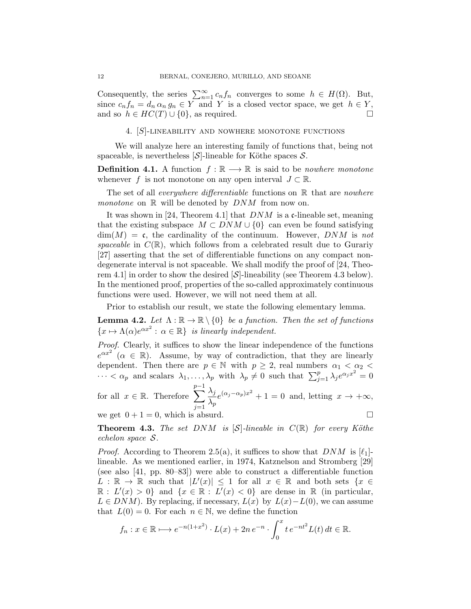Consequently, the series  $\sum_{n=1}^{\infty} c_n f_n$  converges to some  $h \in H(\Omega)$ . But, since  $c_n f_n = d_n \alpha_n g_n \in Y$  and Y is a closed vector space, we get  $h \in Y$ , and so  $h \in HC(T) \cup \{0\}$ , as required.

4. [S]-lineability and nowhere monotone functions

We will analyze here an interesting family of functions that, being not spaceable, is nevertheless  $[\mathcal{S}]$ -lineable for Köthe spaces  $\mathcal{S}$ .

**Definition 4.1.** A function  $f : \mathbb{R} \longrightarrow \mathbb{R}$  is said to be *nowhere monotone* whenever f is not monotone on any open interval  $J \subset \mathbb{R}$ .

The set of all *everywhere differentiable* functions on  $\mathbb R$  that are *nowhere monotone* on  $\mathbb R$  will be denoted by  $DNM$  from now on.

It was shown in [24, Theorem 4.1] that  $DNM$  is a c-lineable set, meaning that the existing subspace  $M \subset DNM \cup \{0\}$  can even be found satisfying  $\dim(M) = \mathfrak{c}$ , the cardinality of the continuum. However, DNM is not spaceable in  $C(\mathbb{R})$ , which follows from a celebrated result due to Gurariy [27] asserting that the set of differentiable functions on any compact nondegenerate interval is not spaceable. We shall modify the proof of [24, Theorem 4.1] in order to show the desired  $[\mathcal{S}]$ -lineability (see Theorem 4.3 below). In the mentioned proof, properties of the so-called approximately continuous functions were used. However, we will not need them at all.

Prior to establish our result, we state the following elementary lemma.

**Lemma 4.2.** Let  $\Lambda : \mathbb{R} \to \mathbb{R} \setminus \{0\}$  be a function. Then the set of functions  ${x \mapsto \Lambda(\alpha)e^{\alpha x^2} : \alpha \in \mathbb{R}}$  is linearly independent.

Proof. Clearly, it suffices to show the linear independence of the functions  $e^{\alpha x^2}$  ( $\alpha \in \mathbb{R}$ ). Assume, by way of contradiction, that they are linearly dependent. Then there are  $p \in \mathbb{N}$  with  $p \geq 2$ , real numbers  $\alpha_1 < \alpha_2 <$  $\cdots < \alpha_p$  and scalars  $\lambda_1, \ldots, \lambda_p$  with  $\lambda_p \neq 0$  such that  $\sum_{j=1}^p \lambda_j e^{\alpha_j x^2} = 0$ for all  $x \in \mathbb{R}$ . Therefore  $\sum$  $p-1$  $j=1$  $\lambda_j$  $\frac{\lambda_j}{\lambda_p} e^{(\alpha_j - \alpha_p)x^2} + 1 = 0$  and, letting  $x \to +\infty$ ,

we get  $0 + 1 = 0$ , which is absurd.

**Theorem 4.3.** The set DNM is  $[\mathcal{S}]$ -lineable in  $C(\mathbb{R})$  for every Köthe echelon space S.

*Proof.* According to Theorem 2.5(a), it suffices to show that  $DNM$  is  $[\ell_1]$ lineable. As we mentioned earlier, in 1974, Katznelson and Stromberg [29] (see also [41, pp. 80–83]) were able to construct a differentiable function  $L : \mathbb{R} \to \mathbb{R}$  such that  $|L'(x)| \leq 1$  for all  $x \in \mathbb{R}$  and both sets  $\{x \in \mathbb{R} \mid L'(x)|\}$  $\mathbb{R}: L'(x) > 0$  and  $\{x \in \mathbb{R}: L'(x) < 0\}$  are dense in  $\mathbb{R}$  (in particular,  $L \in DNM$ ). By replacing, if necessary,  $L(x)$  by  $L(x) - L(0)$ , we can assume that  $L(0) = 0$ . For each  $n \in \mathbb{N}$ , we define the function

$$
f_n: x \in \mathbb{R} \longmapsto e^{-n(1+x^2)} \cdot L(x) + 2n e^{-n} \cdot \int_0^x t e^{-nt^2} L(t) dt \in \mathbb{R}.
$$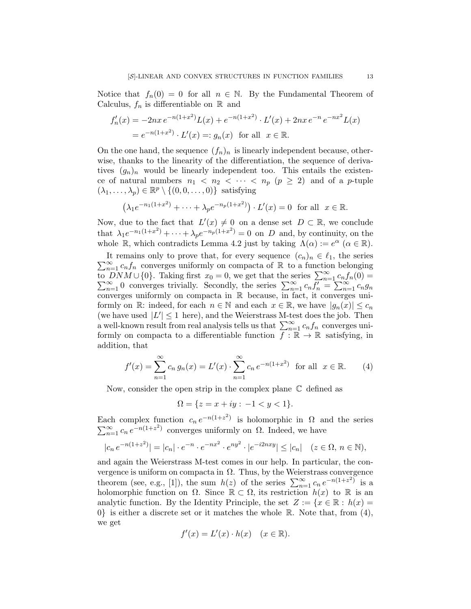Notice that  $f_n(0) = 0$  for all  $n \in \mathbb{N}$ . By the Fundamental Theorem of Calculus,  $f_n$  is differentiable on  $\mathbb R$  and

$$
f'_n(x) = -2nx e^{-n(1+x^2)} L(x) + e^{-n(1+x^2)} \cdot L'(x) + 2nx e^{-n} e^{-nx^2} L(x)
$$
  
=  $e^{-n(1+x^2)} \cdot L'(x) =: g_n(x)$  for all  $x \in \mathbb{R}$ .

On the one hand, the sequence  $(f_n)_n$  is linearly independent because, otherwise, thanks to the linearity of the differentiation, the sequence of derivatives  $(g_n)_n$  would be linearly independent too. This entails the existence of natural numbers  $n_1 < n_2 < \cdots < n_p$   $(p \geq 2)$  and of a *p*-tuple  $(\lambda_1, \ldots, \lambda_p) \in \mathbb{R}^p \setminus \{(0, 0, \ldots, 0)\}$  satisfying

$$
(\lambda_1 e^{-n_1(1+x^2)} + \dots + \lambda_p e^{-n_p(1+x^2)}) \cdot L'(x) = 0 \text{ for all } x \in \mathbb{R}.
$$

Now, due to the fact that  $L'(x) \neq 0$  on a dense set  $D \subset \mathbb{R}$ , we conclude that  $\lambda_1 e^{-n_1(1+x^2)} + \cdots + \lambda_p e^{-n_p(1+x^2)} = 0$  on D and, by continuity, on the whole  $\mathbb{R}$ , which contradicts Lemma 4.2 just by taking  $\Lambda(\alpha) := e^{\alpha}$   $(\alpha \in \mathbb{R})$ .

 $\sum_{n=1}^{\infty} c_n f_n$  converges uniformly on compacta of R to a function belonging It remains only to prove that, for every sequence  $(c_n)_n \in \ell_1$ , the series to  $\overline{DNM} \cup \{0\}$ . Taking first  $x_0 = 0$ , we get that the series  $\sum_{n=1}^{\infty} c_n f'_n = \sum_{n=1}^{\infty} c_n f'_n$  $DNM \cup \{0\}$ . Taking first  $x_0 = 0$ , we get that the series  $\sum_{n=1}^{\infty} c_n f_n(0) = \sum_{n=1}^{\infty} 0$  converges trivially. Secondly, the series  $\sum_{n=1}^{\infty} c_n f'_n = \sum_{n=1}^{\infty} c_n g_n$ converges uniformly on compacta in R because, in fact, it converges uniformly on R: indeed, for each  $n \in \mathbb{N}$  and each  $x \in \mathbb{R}$ , we have  $|g_n(x)| \leq c_n$ (we have used  $|L'| \leq 1$  here), and the Weierstrass M-test does the job. Then a well-known result from real analysis tells us that  $\sum_{n=1}^{\infty} c_n f_n$  converges uniformly on compacta to a differentiable function  $f : \mathbb{R} \to \mathbb{R}$  satisfying, in addition, that

$$
f'(x) = \sum_{n=1}^{\infty} c_n g_n(x) = L'(x) \cdot \sum_{n=1}^{\infty} c_n e^{-n(1+x^2)} \text{ for all } x \in \mathbb{R}.
$$
 (4)

Now, consider the open strip in the complex plane  $\mathbb C$  defined as

$$
\Omega = \{ z = x + iy : -1 < y < 1 \}.
$$

Each complex function  $c_n e^{-n(1+z^2)}$  is holomorphic in  $\Omega$  and the series  $\sum_{n=1}^{\infty} c_n e^{-n(1+z^2)}$  converges uniformly on  $\Omega$ . Indeed, we have

$$
|c_n e^{-n(1+z^2)}| = |c_n| \cdot e^{-n} \cdot e^{-nx^2} \cdot e^{ny^2} \cdot |e^{-i2nxy}| \le |c_n| \quad (z \in \Omega, n \in \mathbb{N}),
$$

and again the Weierstrass M-test comes in our help. In particular, the convergence is uniform on compacta in  $\Omega$ . Thus, by the Weierstrass convergence theorem (see, e.g., [1]), the sum  $h(z)$  of the series  $\sum_{n=1}^{\infty} c_n e^{-n(1+z^2)}$  is a holomorphic function on  $\Omega$ . Since  $\mathbb{R} \subset \Omega$ , its restriction  $h(x)$  to  $\mathbb R$  is an analytic function. By the Identity Principle, the set  $Z := \{x \in \mathbb{R} : h(x) =$  $0\}$  is either a discrete set or it matches the whole R. Note that, from (4), we get

$$
f'(x) = L'(x) \cdot h(x) \quad (x \in \mathbb{R}).
$$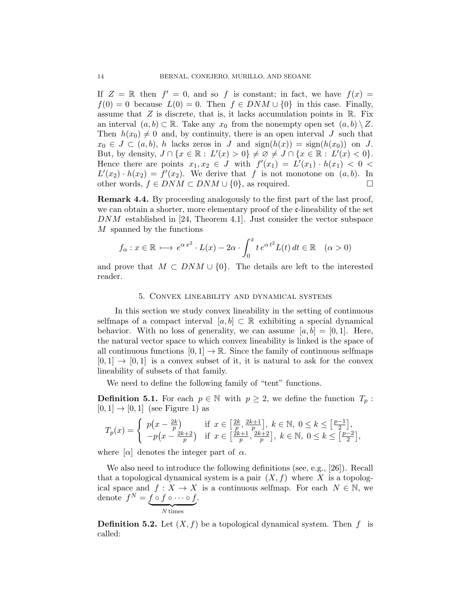If  $Z = \mathbb{R}$  then  $f' = 0$ , and so f is constant; in fact, we have  $f(x) =$  $f(0) = 0$  because  $L(0) = 0$ . Then  $f \in DNM \cup \{0\}$  in this case. Finally, assume that  $Z$  is discrete, that is, it lacks accumulation points in  $\mathbb{R}$ . Fix an interval  $(a, b) \subset \mathbb{R}$ . Take any  $x_0$  from the nonempty open set  $(a, b) \setminus Z$ . Then  $h(x_0) \neq 0$  and, by continuity, there is an open interval J such that  $x_0 \in J \subset (a, b), h$  lacks zeros in J and  $sign(h(x)) = sign(h(x_0))$  on J. But, by density,  $J \cap \{x \in \mathbb{R} : L'(x) > 0\} \neq \emptyset \neq J \cap \{x \in \mathbb{R} : L'(x) < 0\}.$ Hence there are points  $x_1, x_2 \in J$  with  $f'(x_1) = L'(x_1) \cdot h(x_1) < 0$  $L'(x_2) \cdot h(x_2) = f'(x_2)$ . We derive that f is not monotone on  $(a, b)$ . In other words,  $f \in DNM \subset DNM \cup \{0\}$ , as required.  $□$ 

Remark 4.4. By proceeding analogously to the first part of the last proof, we can obtain a shorter, more elementary proof of the  $c$ -lineability of the set DNM established in [24, Theorem 4.1]. Just consider the vector subspace M spanned by the functions

$$
f_{\alpha}: x \in \mathbb{R} \longrightarrow e^{\alpha x^2} \cdot L(x) - 2\alpha \cdot \int_0^x t e^{\alpha t^2} L(t) dt \in \mathbb{R} \quad (\alpha > 0)
$$

and prove that  $M \subset DNM \cup \{0\}$ . The details are left to the interested reader.

### 5. Convex lineability and dynamical systems

In this section we study convex lineability in the setting of continuous selfmaps of a compact interval  $[a, b] \subset \mathbb{R}$  exhibiting a special dynamical behavior. With no loss of generality, we can assume  $[a, b] = [0, 1]$ . Here, the natural vector space to which convex lineability is linked is the space of all continuous functions  $[0, 1] \rightarrow \mathbb{R}$ . Since the family of continuous selfmaps  $[0, 1] \rightarrow [0, 1]$  is a convex subset of it, it is natural to ask for the convex lineability of subsets of that family.

We need to define the following family of "tent" functions.

**Definition 5.1.** For each  $p \in \mathbb{N}$  with  $p \geq 2$ , we define the function  $T_p$ :  $[0, 1] \rightarrow [0, 1]$  (see Figure 1) as

$$
T_p(x) = \begin{cases} p\left(x - \frac{2k}{p}\right) & \text{if } x \in \left[\frac{2k}{p}, \frac{2k+1}{p}\right], \ k \in \mathbb{N}, \ 0 \le k \le \left[\frac{p-1}{2}\right], \\ -p\left(x - \frac{2k+2}{p}\right) & \text{if } x \in \left[\frac{2k+1}{p}, \frac{2k+2}{p}\right], \ k \in \mathbb{N}, \ 0 \le k \le \left[\frac{p-2}{2}\right], \end{cases}
$$

where  $\alpha$  denotes the integer part of  $\alpha$ .

We also need to introduce the following definitions (see, e.g., [26]). Recall that a topological dynamical system is a pair  $(X, f)$  where X is a topological space and  $f: X \to X$  is a continuous selfmap. For each  $N \in \mathbb{N}$ , we denote  $f^N=f\circ f\circ\cdots\circ f$ .

 $N \text{ times}$ 

**Definition 5.2.** Let  $(X, f)$  be a topological dynamical system. Then f is called: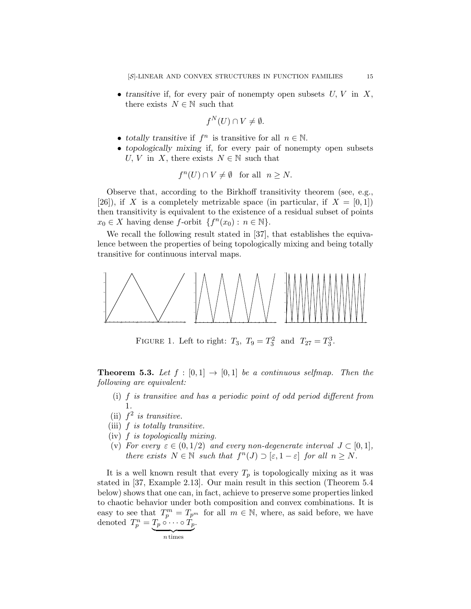• transitive if, for every pair of nonempty open subsets  $U, V$  in  $X$ , there exists  $N \in \mathbb{N}$  such that

$$
f^N(U) \cap V \neq \emptyset.
$$

- totally transitive if  $f^n$  is transitive for all  $n \in \mathbb{N}$ .
- topologically mixing if, for every pair of nonempty open subsets U, V in X, there exists  $N \in \mathbb{N}$  such that

$$
f^{n}(U) \cap V \neq \emptyset \quad \text{for all} \quad n \ge N.
$$

Observe that, according to the Birkhoff transitivity theorem (see, e.g., [26]), if X is a completely metrizable space (in particular, if  $X = [0,1]$ ) then transitivity is equivalent to the existence of a residual subset of points  $x_0 \in X$  having dense f-orbit  $\{f^n(x_0): n \in \mathbb{N}\}.$ 

We recall the following result stated in [37], that establishes the equivalence between the properties of being topologically mixing and being totally transitive for continuous interval maps.



FIGURE 1. Left to right:  $T_3$ ,  $T_9 = T_3^2$  and  $T_{27} = T_3^3$ .

**Theorem 5.3.** Let  $f : [0,1] \rightarrow [0,1]$  be a continuous selfmap. Then the following are equivalent:

- (i) f is transitive and has a periodic point of odd period different from 1.
- (ii)  $f^2$  is transitive.
- (iii)  $f$  is totally transitive.
- (iv) f is topologically mixing.
- (v) For every  $\varepsilon \in (0, 1/2)$  and every non-degenerate interval  $J \subset [0, 1]$ , there exists  $N \in \mathbb{N}$  such that  $f^{n}(J) \supset [\varepsilon, 1-\varepsilon]$  for all  $n \ge N$ .

It is a well known result that every  $T_p$  is topologically mixing as it was stated in [37, Example 2.13]. Our main result in this section (Theorem 5.4 below) shows that one can, in fact, achieve to preserve some properties linked to chaotic behavior under both composition and convex combinations. It is easy to see that  $T_p^m = T_{p^m}$  for all  $m \in \mathbb{N}$ , where, as said before, we have denoted  $T_p^n = T_p \circ \cdots \circ T_p$ .

$$
\overbrace{n \, \mathrm{times}}
$$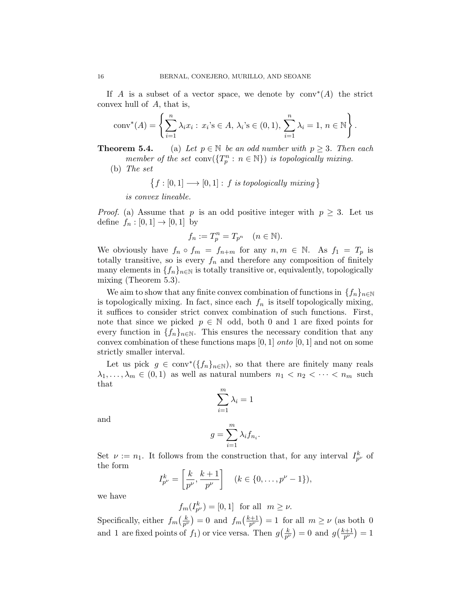If A is a subset of a vector space, we denote by  $\text{conv}^*(A)$  the strict convex hull of A, that is,

conv<sup>\*</sup>
$$
(A) = \left\{ \sum_{i=1}^{n} \lambda_i x_i : x_i \in A, \lambda_i \in (0,1), \sum_{i=1}^{n} \lambda_i = 1, n \in \mathbb{N} \right\}.
$$

**Theorem 5.4.** (a) Let  $p \in \mathbb{N}$  be an odd number with  $p \geq 3$ . Then each member of the set  $\text{conv}(\lbrace T_p^n : n \in \mathbb{N} \rbrace)$  is topologically mixing.

(b) The set

$$
\{f : [0,1] \longrightarrow [0,1] : f \text{ is topologically mixing } \}
$$

is convex lineable.

*Proof.* (a) Assume that p is an odd positive integer with  $p \geq 3$ . Let us define  $f_n : [0,1] \to [0,1]$  by

$$
f_n := T_p^n = T_{p^n} \quad (n \in \mathbb{N}).
$$

We obviously have  $f_n \circ f_m = f_{n+m}$  for any  $n, m \in \mathbb{N}$ . As  $f_1 = T_p$  is totally transitive, so is every  $f_n$  and therefore any composition of finitely many elements in  $\{f_n\}_{n\in\mathbb{N}}$  is totally transitive or, equivalently, topologically mixing (Theorem 5.3).

We aim to show that any finite convex combination of functions in  $\{f_n\}_{n\in\mathbb{N}}$ is topologically mixing. In fact, since each  $f_n$  is itself topologically mixing, it suffices to consider strict convex combination of such functions. First, note that since we picked  $p \in \mathbb{N}$  odd, both 0 and 1 are fixed points for every function in  $\{f_n\}_{n\in\mathbb{N}}$ . This ensures the necessary condition that any convex combination of these functions maps  $[0, 1]$  *onto*  $[0, 1]$  and not on some strictly smaller interval.

Let us pick  $g \in \text{conv}^*(\{f_n\}_{n\in\mathbb{N}})$ , so that there are finitely many reals  $\lambda_1, \ldots, \lambda_m \in (0,1)$  as well as natural numbers  $n_1 < n_2 < \cdots < n_m$  such that

$$
\sum_{i=1}^{m} \lambda_i = 1
$$

and

$$
g = \sum_{i=1}^{m} \lambda_i f_{n_i}.
$$

Set  $\nu := n_1$ . It follows from the construction that, for any interval  $I_{p^{\nu}}^k$  of the form

$$
I_{p^{\nu}}^{k} = \left[\frac{k}{p^{\nu}}, \frac{k+1}{p^{\nu}}\right] \quad (k \in \{0, \dots, p^{\nu} - 1\}),
$$

we have

$$
f_m(I_{p^{\nu}}^k) = [0,1] \text{ for all } m \ge \nu.
$$

Specifically, either  $f_m\left(\frac{k}{p^l}\right)$  $\left(\frac{k}{p^{\nu}}\right) = 0$  and  $f_m\left(\frac{k+1}{p^{\nu}}\right)$  $\left(\frac{p+1}{p^{\nu}}\right)=1$  for all  $m\geq \nu$  (as both 0 and 1 are fixed points of  $f_1$ ) or vice versa. Then  $g\left(\frac{k}{p^k}\right)$  $\left(\frac{k}{p^{\nu}}\right) = 0$  and  $g\left(\frac{k+1}{p^{\nu}}\right)$  $\frac{c+1}{p^{\nu}})=1$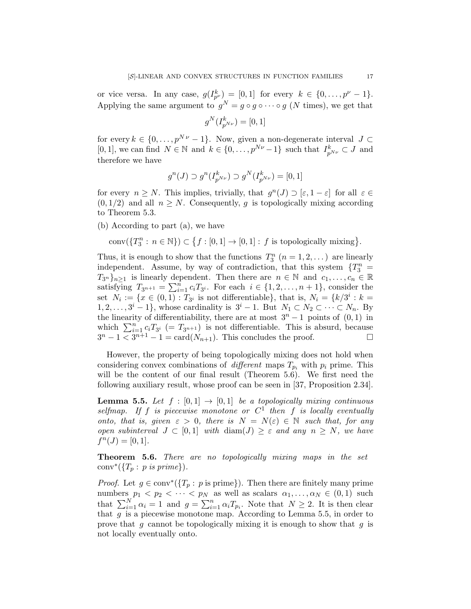or vice versa. In any case,  $g(I_{p^{\nu}}^k) = [0,1]$  for every  $k \in \{0,\ldots,p^{\nu}-1\}.$ Applying the same argument to  $g^N = g \circ g \circ \cdots \circ g$  (N times), we get that

$$
g^N(I_{p^{N\nu}}^k)=[0,1]
$$

for every  $k \in \{0, \ldots, p^{N\nu} - 1\}$ . Now, given a non-degenerate interval  $J \subset$ [0, 1], we can find  $N \in \mathbb{N}$  and  $k \in \{0, \ldots, p^{N\nu} - 1\}$  such that  $I_{p^{N\nu}}^k \subset J$  and therefore we have

$$
g^{n}(J) \supset g^{n}(I_{p^{N\nu}}^k) \supset g^{N}(I_{p^{N\nu}}^k) = [0,1]
$$

for every  $n \geq N$ . This implies, trivially, that  $g^{n}(J) \supset [\varepsilon, 1-\varepsilon]$  for all  $\varepsilon \in$  $(0, 1/2)$  and all  $n \geq N$ . Consequently, q is topologically mixing according to Theorem 5.3.

(b) According to part (a), we have

$$
conv(\lbrace T_3^n : n \in \mathbb{N} \rbrace) \subset \lbrace f : [0,1] \to [0,1] : f \text{ is topologically mixing} \rbrace.
$$

Thus, it is enough to show that the functions  $T_3^n$   $(n = 1, 2, ...)$  are linearly independent. Assume, by way of contradiction, that this system  $\{T_3^n\}$  $T_{3^n}$ <sub> $n\geq 1$ </sub> is linearly dependent. Then there are  $n \in \mathbb{N}$  and  $c_1, \ldots, c_n \in \mathbb{R}$ satisfying  $T_{3^{n+1}} = \sum_{i=1}^{n} c_i T_{3^i}$ . For each  $i \in \{1, 2, ..., n+1\}$ , consider the set  $N_i := \{x \in (0,1) : T_{3^i}$  is not differentiable}, that is,  $N_i = \{k/3^i : k =$  $1, 2, \ldots, 3^{i}-1$ , whose cardinality is  $3^{i}-1$ . But  $N_1 \subset N_2 \subset \cdots \subset N_n$ . By the linearity of differentiability, there are at most  $3<sup>n</sup> - 1$  points of  $(0, 1)$  in which  $\sum_{i=1}^{n} c_i T_{3^i} (= T_{3^{n+1}})$  is not differentiable. This is absurd, because  $3^{n}-1 \leq 3^{n+1}-1 = \text{card}(N_{n+1})$ . This concludes the proof.

However, the property of being topologically mixing does not hold when considering convex combinations of different maps  $T_{p_i}$  with  $p_i$  prime. This will be the content of our final result (Theorem 5.6). We first need the following auxiliary result, whose proof can be seen in [37, Proposition 2.34].

**Lemma 5.5.** Let  $f : [0,1] \rightarrow [0,1]$  be a topologically mixing continuous selfmap. If f is piecewise monotone or  $C<sup>1</sup>$  then f is locally eventually onto, that is, given  $\varepsilon > 0$ , there is  $N = N(\varepsilon) \in \mathbb{N}$  such that, for any open subinterval  $J \subset [0,1]$  with  $\text{diam}(J) \geq \varepsilon$  and any  $n \geq N$ , we have  $f^{n}(J) = [0, 1].$ 

Theorem 5.6. There are no topologically mixing maps in the set conv<sup>\*</sup>( $\{T_p: p \text{ is prime}\}$ ).

*Proof.* Let  $g \in \text{conv}^*(\{T_p : p \text{ is prime}\})$ . Then there are finitely many prime numbers  $p_1 < p_2 < \cdots < p_N$  as well as scalars  $\alpha_1, \ldots, \alpha_N \in (0,1)$  such that  $\sum_{i=1}^{N} \alpha_i = 1$  and  $g = \sum_{i=1}^{n} \alpha_i T_{p_i}$ . Note that  $N \geq 2$ . It is then clear that  $g$  is a piecewise monotone map. According to Lemma 5.5, in order to prove that g cannot be topologically mixing it is enough to show that g is not locally eventually onto.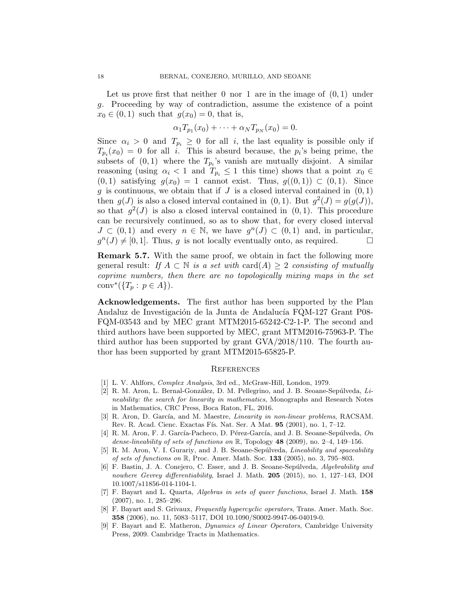Let us prove first that neither  $0$  nor  $1$  are in the image of  $(0, 1)$  under g. Proceeding by way of contradiction, assume the existence of a point  $x_0 \in (0,1)$  such that  $g(x_0) = 0$ , that is,

$$
\alpha_1 T_{p_1}(x_0) + \cdots + \alpha_N T_{p_N}(x_0) = 0.
$$

Since  $\alpha_i > 0$  and  $T_{p_i} \geq 0$  for all i, the last equality is possible only if  $T_{p_i}(x_0) = 0$  for all *i*. This is absurd because, the  $p_i$ 's being prime, the subsets of  $(0, 1)$  where the  $T_{p_i}$ 's vanish are mutually disjoint. A similar reasoning (using  $\alpha_i < 1$  and  $T_{p_i} \le 1$  this time) shows that a point  $x_0 \in$  $(0, 1)$  satisfying  $g(x_0) = 1$  cannot exist. Thus,  $g((0, 1)) \subset (0, 1)$ . Since  $g$  is continuous, we obtain that if  $J$  is a closed interval contained in  $(0, 1)$ then  $g(J)$  is also a closed interval contained in  $(0, 1)$ . But  $g^2(J) = g(g(J))$ , so that  $g^2(J)$  is also a closed interval contained in  $(0, 1)$ . This procedure can be recursively continued, so as to show that, for every closed interval  $J \subset (0,1)$  and every  $n \in \mathbb{N}$ , we have  $g^{n}(J) \subset (0,1)$  and, in particular,  $g^{n}(J) \neq [0, 1]$ . Thus, g is not locally eventually onto, as required.

Remark 5.7. With the same proof, we obtain in fact the following more general result: If  $A \subset \mathbb{N}$  is a set with card $(A) \geq 2$  consisting of mutually coprime numbers, then there are no topologically mixing maps in the set conv<sup>\*</sup>({ $T_p: p \in A$ }).

Acknowledgements. The first author has been supported by the Plan Andaluz de Investigación de la Junta de Andalucía FQM-127 Grant P08-FQM-03543 and by MEC grant MTM2015-65242-C2-1-P. The second and third authors have been supported by MEC, grant MTM2016-75963-P. The third author has been supported by grant GVA/2018/110. The fourth author has been supported by grant MTM2015-65825-P.

#### **REFERENCES**

- [1] L. V. Ahlfors, Complex Analysis, 3rd ed., McGraw-Hill, London, 1979.
- [2] R. M. Aron, L. Bernal-González, D. M. Pellegrino, and J. B. Seoane-Sepúlveda,  $Li$ neability: the search for linearity in mathematics, Monographs and Research Notes in Mathematics, CRC Press, Boca Raton, FL, 2016.
- [3] R. Aron, D. García, and M. Maestre, *Linearity in non-linear problems*, RACSAM. Rev. R. Acad. Cienc. Exactas Fís. Nat. Ser. A Mat. 95 (2001), no. 1, 7-12.
- [4] R. M. Aron, F. J. García-Pacheco, D. Pérez-García, and J. B. Seoane-Sepúlveda,  $On$ dense-lineability of sets of functions on  $\mathbb{R}$ , Topology 48 (2009), no. 2–4, 149–156.
- [5] R. M. Aron, V. I. Gurariy, and J. B. Seoane-Sepúlveda, *Lineability and spaceability* of sets of functions on  $\mathbb{R}$ , Proc. Amer. Math. Soc. 133 (2005), no. 3, 795–803.
- [6] F. Bastin, J. A. Conejero, C. Esser, and J. B. Seoane-Sepúlveda, Algebrability and nowhere Gevrey differentiability, Israel J. Math. **205** (2015), no. 1, 127–143, DOI 10.1007/s11856-014-1104-1.
- [7] F. Bayart and L. Quarta, Algebras in sets of queer functions, Israel J. Math. 158 (2007), no. 1, 285–296.
- [8] F. Bayart and S. Grivaux, Frequently hypercyclic operators, Trans. Amer. Math. Soc. 358 (2006), no. 11, 5083–5117, DOI 10.1090/S0002-9947-06-04019-0.
- [9] F. Bayart and E. Matheron, Dynamics of Linear Operators, Cambridge University Press, 2009. Cambridge Tracts in Mathematics.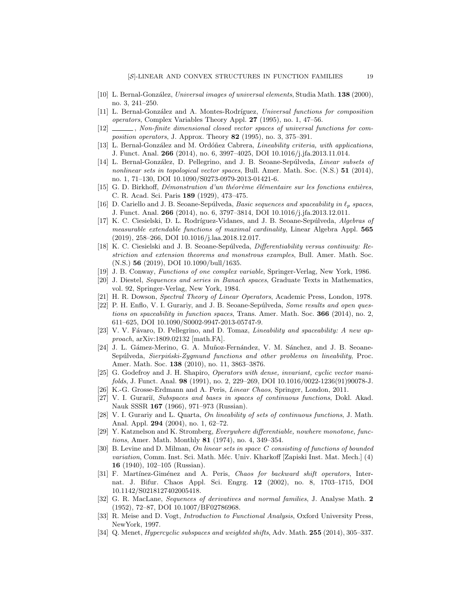- [10] L. Bernal-González, Universal images of universal elements, Studia Math. 138 (2000), no. 3, 241–250.
- [11] L. Bernal-González and A. Montes-Rodríguez, Universal functions for composition operators, Complex Variables Theory Appl. 27 (1995), no. 1, 47–56.
- [12] Non-finite dimensional closed vector spaces of universal functions for composition operators, J. Approx. Theory 82 (1995), no. 3, 375–391.
- [13] L. Bernal-González and M. Ordóñez Cabrera, Lineability criteria, with applications, J. Funct. Anal. 266 (2014), no. 6, 3997–4025, DOI 10.1016/j.jfa.2013.11.014.
- [14] L. Bernal-González, D. Pellegrino, and J. B. Seoane-Sepúlveda, Linear subsets of nonlinear sets in topological vector spaces, Bull. Amer. Math. Soc.  $(N.S.)$  51 (2014), no. 1, 71–130, DOI 10.1090/S0273-0979-2013-01421-6.
- $[15]$  G. D. Birkhoff, *Démonstration d'un théorème élémentaire sur les fonctions entières*, C. R. Acad. Sci. Paris 189 (1929), 473–475.
- [16] D. Cariello and J. B. Seoane-Sepúlveda, *Basic sequences and spaceability in*  $\ell_p$  *spaces*, J. Funct. Anal. 266 (2014), no. 6, 3797–3814, DOI 10.1016/j.jfa.2013.12.011.
- [17] K. C. Ciesielski, D. L. Rodríguez-Vidanes, and J. B. Seoane-Sepúlveda, Algebras of measurable extendable functions of maximal cardinality, Linear Algebra Appl. 565 (2019), 258–266, DOI 10.1016/j.laa.2018.12.017.
- [18] K. C. Ciesielski and J. B. Seoane-Sepúlveda, *Differentiability versus continuity: Re*striction and extension theorems and monstrous examples, Bull. Amer. Math. Soc. (N.S.) 56 (2019), DOI 10.1090/bull/1635.
- [19] J. B. Conway, Functions of one complex variable, Springer-Verlag, New York, 1986.
- [20] J. Diestel, Sequences and series in Banach spaces, Graduate Texts in Mathematics, vol. 92, Springer-Verlag, New York, 1984.
- [21] H. R. Dowson, Spectral Theory of Linear Operators, Academic Press, London, 1978.
- [22] P. H. Enflo, V. I. Gurariy, and J. B. Seoane-Sepúlveda, Some results and open questions on spaceability in function spaces, Trans. Amer. Math. Soc. 366 (2014), no. 2, 611–625, DOI 10.1090/S0002-9947-2013-05747-9.
- [23] V. V. Fávaro, D. Pellegrino, and D. Tomaz, Lineability and spaceability: A new approach, arXiv:1809.02132 [math.FA].
- [24] J. L. Gámez-Merino, G. A. Muñoz-Fernández, V. M. Sánchez, and J. B. Seoane-Sepúlveda, Sierpiński-Zygmund functions and other problems on lineability, Proc. Amer. Math. Soc. 138 (2010), no. 11, 3863–3876.
- [25] G. Godefroy and J. H. Shapiro, Operators with dense, invariant, cyclic vector manifolds, J. Funct. Anal. 98 (1991), no. 2, 229–269, DOI 10.1016/0022-1236(91)90078-J.
- [26] K.-G. Grosse-Erdmann and A. Peris, Linear Chaos, Springer, London, 2011.
- [27] V. I. Gurariı̆, Subspaces and bases in spaces of continuous functions, Dokl. Akad. Nauk SSSR 167 (1966), 971–973 (Russian).
- [28] V. I. Gurariy and L. Quarta, On lineability of sets of continuous functions, J. Math. Anal. Appl. 294 (2004), no. 1, 62–72.
- [29] Y. Katznelson and K. Stromberg, Everywhere differentiable, nowhere monotone, functions, Amer. Math. Monthly 81 (1974), no. 4, 349–354.
- [30] B. Levine and D. Milman, On linear sets in space C consisting of functions of bounded variation, Comm. Inst. Sci. Math. Méc. Univ. Kharkoff [Zapiski Inst. Mat. Mech.] (4) 16 (1940), 102–105 (Russian).
- [31] F. Martínez-Giménez and A. Peris, Chaos for backward shift operators, Internat. J. Bifur. Chaos Appl. Sci. Engrg. 12 (2002), no. 8, 1703–1715, DOI 10.1142/S0218127402005418.
- [32] G. R. MacLane, Sequences of derivatives and normal families, J. Analyse Math. 2 (1952), 72–87, DOI 10.1007/BF02786968.
- [33] R. Meise and D. Vogt, Introduction to Functional Analysis, Oxford University Press, NewYork, 1997.
- [34] Q. Menet, *Hypercyclic subspaces and weighted shifts*, Adv. Math. **255** (2014), 305–337.